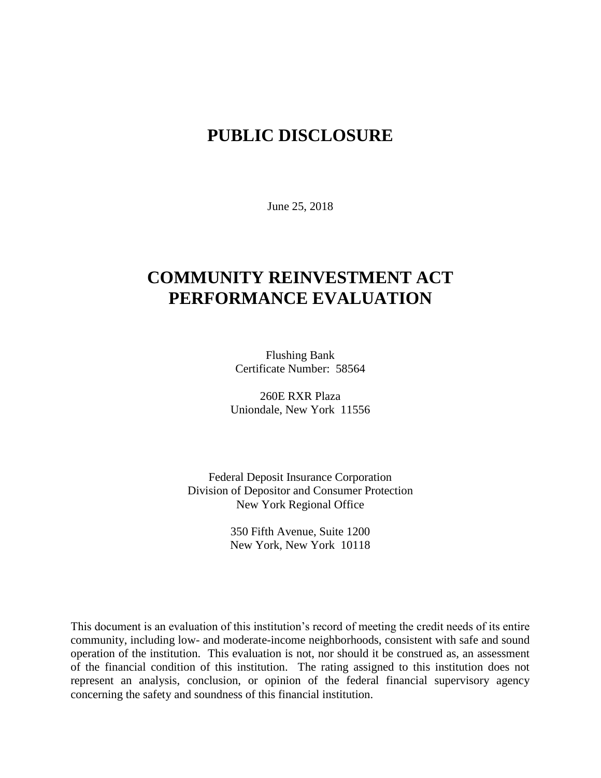## **PUBLIC DISCLOSURE**

June 25, 2018

# **COMMUNITY REINVESTMENT ACT PERFORMANCE EVALUATION**

Flushing Bank Certificate Number: 58564

260E RXR Plaza Uniondale, New York 11556

Federal Deposit Insurance Corporation Division of Depositor and Consumer Protection New York Regional Office

> 350 Fifth Avenue, Suite 1200 New York, New York 10118

This document is an evaluation of this institution's record of meeting the credit needs of its entire community, including low- and moderate-income neighborhoods, consistent with safe and sound operation of the institution.This evaluation is not, nor should it be construed as, an assessment of the financial condition of this institution. The rating assigned to this institution does not represent an analysis, conclusion, or opinion of the federal financial supervisory agency concerning the safety and soundness of this financial institution.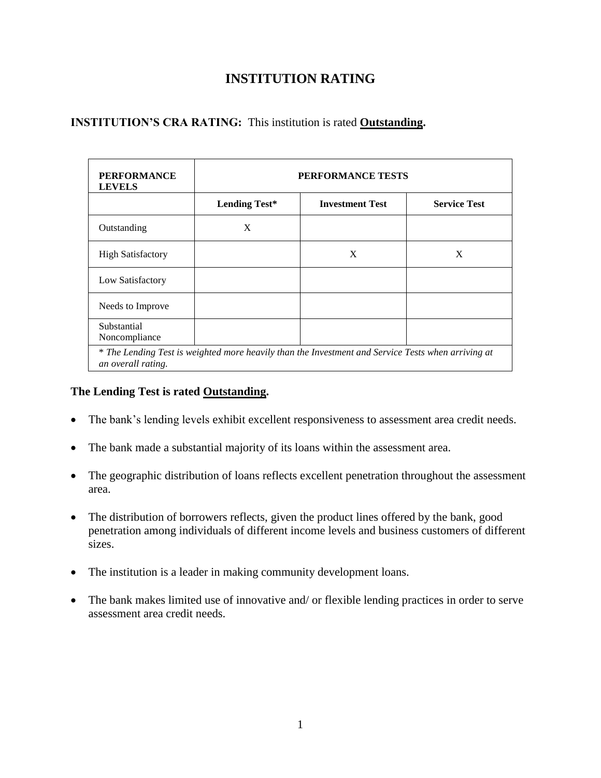### **INSTITUTION RATING**

### **INSTITUTION'S CRA RATING:** This institution is rated **Outstanding.**

| <b>PERFORMANCE</b><br><b>LEVELS</b>                                                                                      | PERFORMANCE TESTS    |                        |                     |
|--------------------------------------------------------------------------------------------------------------------------|----------------------|------------------------|---------------------|
|                                                                                                                          | <b>Lending Test*</b> | <b>Investment Test</b> | <b>Service Test</b> |
| Outstanding                                                                                                              | X                    |                        |                     |
| <b>High Satisfactory</b>                                                                                                 |                      | X                      | X                   |
| Low Satisfactory                                                                                                         |                      |                        |                     |
| Needs to Improve                                                                                                         |                      |                        |                     |
| Substantial<br>Noncompliance                                                                                             |                      |                        |                     |
| * The Lending Test is weighted more heavily than the Investment and Service Tests when arriving at<br>an overall rating. |                      |                        |                     |

#### **The Lending Test is rated Outstanding.**

- The bank's lending levels exhibit excellent responsiveness to assessment area credit needs.
- The bank made a substantial majority of its loans within the assessment area.
- The geographic distribution of loans reflects excellent penetration throughout the assessment area.
- The distribution of borrowers reflects, given the product lines offered by the bank, good penetration among individuals of different income levels and business customers of different sizes.
- The institution is a leader in making community development loans.
- The bank makes limited use of innovative and/ or flexible lending practices in order to serve assessment area credit needs.